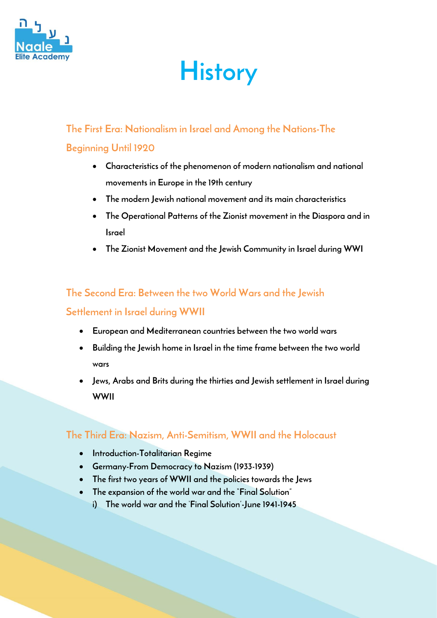

# **History**

# **The First Era: Nationalism in Israel and Among the Nations-The**

# **Beginning Until 1920**

- **Characteristics of the phenomenon of modern nationalism and national movements in Europe in the 19th century**
- **The modern Jewish national movement and its main characteristics**
- **The Operational Patterns of the Zionist movement in the Diaspora and in Israel**
- **The Zionist Movement and the Jewish Community in Israel during WWI**

# **The Second Era: Between the two World Wars and the Jewish**

## **Settlement in Israel during WWII**

- **European and Mediterranean countries between the two world wars**
- **Building the Jewish home in Israel in the time frame between the two world wars**
- **Jews, Arabs and Brits during the thirties and Jewish settlement in Israel during WWII**

# **The Third Era: Nazism, Anti-Semitism, WWII and the Holocaust**

- **Introduction-Totalitarian Regime**
- **Germany-From Democracy to Nazism (1933-1939)**
- **The first two years of WWII and the policies towards the Jews**
- **The expansion of the world war and the "Final Solution"**
	- **i) The world war and the 'Final Solution'-June 1941-1945**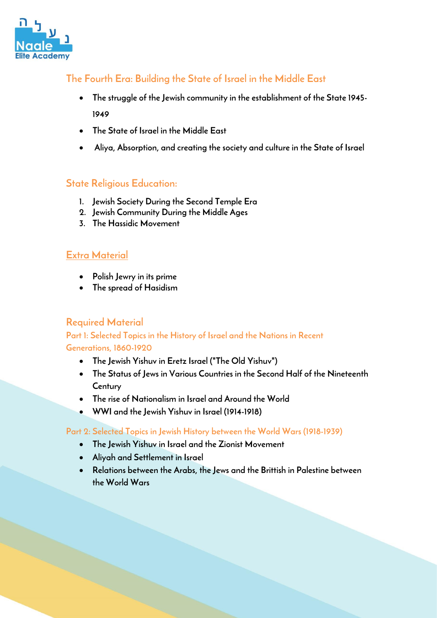

# **The Fourth Era: Building the State of Israel in the Middle East**

- **The struggle of the Jewish community in the establishment of the State 1945- 1949**
- **The State of Israel in the Middle East**
- **Aliya, Absorption, and creating the society and culture in the State of Israel**

## **State Religious Education:**

- **1. Jewish Society During the Second Temple Era**
- **2. Jewish Community During the Middle Ages**
- **3. The Hassidic Movement**

### **Extra Material**

- **Polish Jewry in its prime**
- **The spread of Hasidism**

### **Required Material**

### **Part 1: Selected Topics in the History of Israel and the Nations in Recent Generations, 1860-1920**

- **The Jewish Yishuv in Eretz Israel ("The Old Yishuv")**
- **The Status of Jews in Various Countries in the Second Half of the Nineteenth Century**
- **The rise of Nationalism in Israel and Around the World**
- **WWI and the Jewish Yishuv in Israel (1914-1918)**

#### **Part 2: Selected Topics in Jewish History between the World Wars (1918-1939)**

- **The Jewish Yishuv in Israel and the Zionist Movement**
- **Aliyah and Settlement in Israel**
- **Relations between the Arabs, the Jews and the Brittish in Palestine between the World Wars**